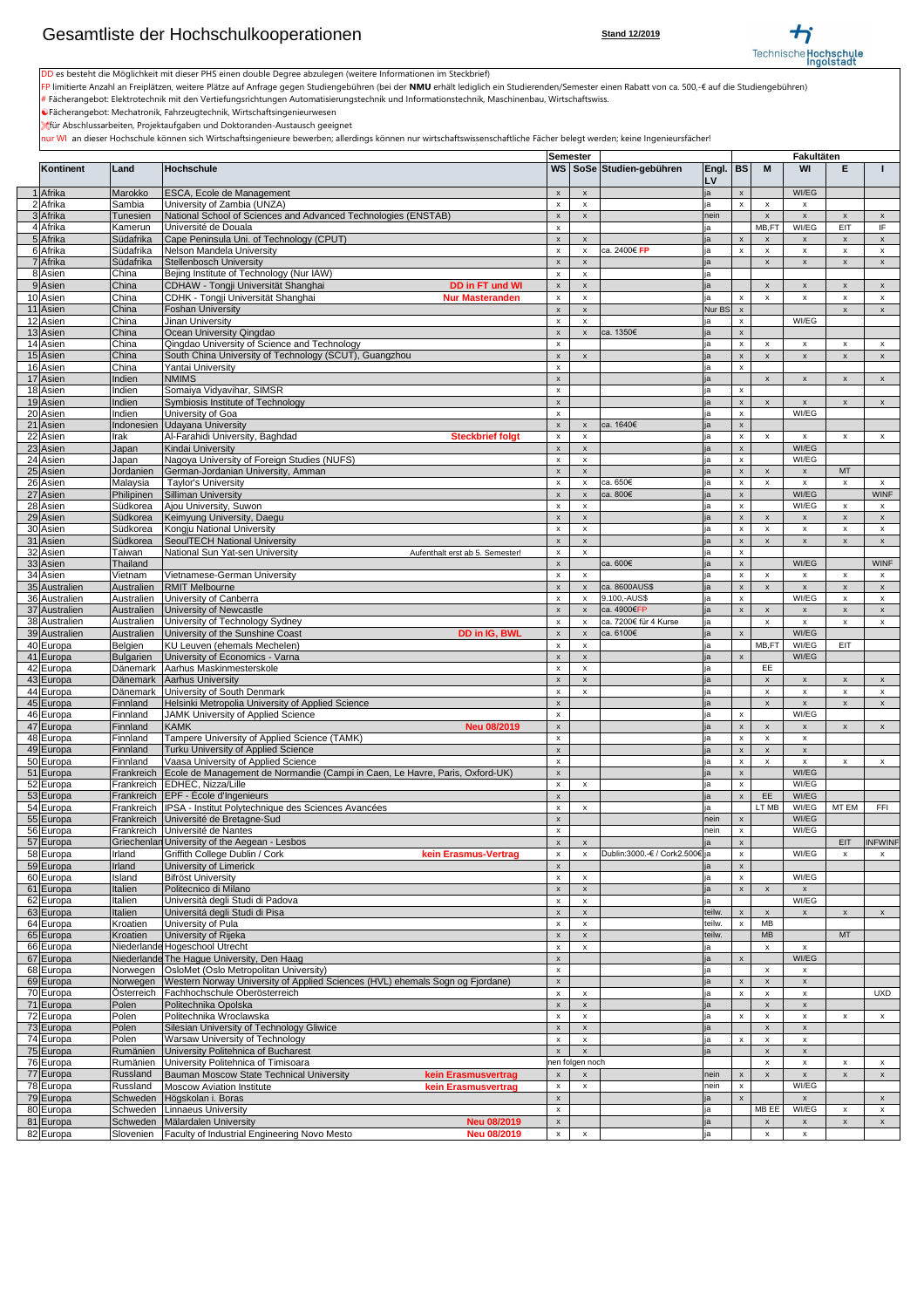|               |                       |                                                                               | Semester                  |                                    |                                |        |                           |                           | Fakultäten                |                    |                                           |
|---------------|-----------------------|-------------------------------------------------------------------------------|---------------------------|------------------------------------|--------------------------------|--------|---------------------------|---------------------------|---------------------------|--------------------|-------------------------------------------|
| Kontinent     | Land                  | Hochschule                                                                    |                           |                                    | WS   SoSe   Studien-gebühren   | Engl.  | <b>BS</b>                 | M                         | <b>WI</b>                 | E                  |                                           |
|               |                       |                                                                               |                           |                                    |                                | LV     |                           |                           |                           |                    |                                           |
|               |                       |                                                                               |                           |                                    |                                |        |                           |                           | WI/EG                     |                    |                                           |
| 1 Afrika      | Marokko               | <b>ESCA, Ecole de Management</b>                                              | X                         | $\boldsymbol{\mathsf{X}}$          |                                | ja     | $\boldsymbol{\mathsf{x}}$ |                           |                           |                    |                                           |
| 2 Afrika      | Sambia                | University of Zambia (UNZA)                                                   | x                         | x                                  |                                | ја     | $\mathsf{x}$              |                           | х                         |                    |                                           |
| 3 Afrika      | <b>Tunesien</b>       | National School of Sciences and Advanced Technologies (ENSTAB)                | X                         |                                    |                                | nein   |                           |                           | $\boldsymbol{\mathsf{x}}$ | X                  | $\mathsf{X}$                              |
| 4 Afrika      | Kamerun               | Université de Douala                                                          | X                         |                                    |                                | ia     |                           | MB,FT                     | WI/EG                     | <b>EIT</b>         | IF.                                       |
| 5 Afrika      | Südafrika             | Cape Peninsula Uni. of Technology (CPUT)                                      | X                         | X                                  |                                | ja     | $\boldsymbol{\mathsf{x}}$ | $\boldsymbol{\mathsf{x}}$ | $\boldsymbol{\mathsf{x}}$ | $\mathsf{x}$       | $\mathsf{X}$                              |
| 6 Afrika      | Südafrika             | Nelson Mandela University                                                     | X                         | $\boldsymbol{\mathsf{x}}$          | ca. 2400€ FP                   | ja     | $\mathsf{x}$              |                           | $\boldsymbol{\mathsf{x}}$ | X                  | $\boldsymbol{\mathsf{x}}$                 |
| 7 Afrika      | Südafrika             | Stellenbosch University                                                       | X                         | X                                  |                                | ia     |                           |                           | $\boldsymbol{\mathsf{x}}$ | X                  | $\mathsf{x}$                              |
| 8 Asien       | China                 | Bejing Institute of Technology (Nur IAW)                                      | X                         | X                                  |                                | ja     |                           |                           |                           |                    |                                           |
| 9Asien        | China                 | CDHAW - Tongji Universität Shanghai<br><b>DD in FT und WI</b>                 | X                         | X                                  |                                | ja     |                           |                           | $\boldsymbol{\mathsf{x}}$ | X                  | $\boldsymbol{\mathsf{X}}$                 |
|               |                       |                                                                               |                           |                                    |                                |        |                           |                           |                           |                    |                                           |
| 10 Asien      | China                 | CDHK - Tongji Universität Shanghai<br><b>Nur Masteranden</b>                  | X                         | X                                  |                                | ја     | $\boldsymbol{\mathsf{x}}$ | $\boldsymbol{\mathsf{x}}$ | $\boldsymbol{\mathsf{x}}$ | X                  | $\mathsf{x}$                              |
| 11 Asien      | China                 | <b>Foshan University</b>                                                      | X                         | X                                  |                                | Nur BS | $\mathsf{X}$              |                           |                           | X                  | $\mathsf{X}$                              |
| 12 Asien      | China                 | <b>Jinan University</b>                                                       | X                         | X                                  |                                | ia     | $\pmb{\mathsf{X}}$        |                           | WI/EG                     |                    |                                           |
| 13 Asien      | China                 | Ocean University Qingdao                                                      | X                         | X                                  | ca. 1350€                      | ja     | $\mathbf{x}$              |                           |                           |                    |                                           |
| 14 Asien      | China                 | Qingdao University of Science and Technology                                  | X                         |                                    |                                | ja     | $\boldsymbol{\mathsf{x}}$ | $\boldsymbol{\mathsf{x}}$ | $\boldsymbol{\mathsf{x}}$ | X                  | $\boldsymbol{\mathsf{x}}$                 |
| 15 Asien      | China                 | South China University of Technology (SCUT), Guangzhou                        | X                         | $\boldsymbol{\mathsf{X}}$          |                                | ia     | $\boldsymbol{\mathsf{x}}$ |                           | $\boldsymbol{\mathsf{x}}$ | X                  | $\mathsf{x}$                              |
| 16 Asien      | China                 | Yantai University                                                             | X                         |                                    |                                | ја     | $\boldsymbol{\mathsf{x}}$ |                           |                           |                    |                                           |
| 17 Asien      | Indien                | <b>NMIMS</b>                                                                  | X                         |                                    |                                | ja     |                           |                           | $\boldsymbol{\mathsf{x}}$ | X                  | $\pmb{\mathsf{X}}$                        |
| 18 Asien      | Indien                | Somaiya Vidyavihar, SIMSR                                                     | X                         |                                    |                                | ja     | $\boldsymbol{\mathsf{X}}$ |                           |                           |                    |                                           |
| 19 Asien      | Indien                | Symbiosis Institute of Technology                                             | X                         |                                    |                                | ja     | $\pmb{\mathsf{X}}$        |                           | $\boldsymbol{\mathsf{x}}$ | X                  | $\boldsymbol{\mathsf{X}}$                 |
|               |                       |                                                                               |                           |                                    |                                |        |                           |                           | WI/EG                     |                    |                                           |
| 20 Asien      | Indien                | University of Goa                                                             | X                         |                                    |                                | ia     | $\boldsymbol{\mathsf{x}}$ |                           |                           |                    |                                           |
| 21 Asien      | Indonesien            | Udayana University                                                            | X                         | $\boldsymbol{\mathsf{x}}$          | ca. 1640€                      | ia     | $\boldsymbol{\mathsf{x}}$ |                           |                           |                    |                                           |
| 22 Asien      | Irak                  | Al-Farahidi University, Baghdad<br><b>Steckbrief folgt</b>                    | X                         | x                                  |                                | ja     | $\boldsymbol{\mathsf{x}}$ | $\boldsymbol{\mathsf{x}}$ | $\boldsymbol{\mathsf{x}}$ | X                  | $\boldsymbol{\mathsf{x}}$                 |
| 23 Asien      | Japan                 | Kindai University                                                             | X                         | X                                  |                                | ja     | $\boldsymbol{\mathsf{x}}$ |                           | WI/EG                     |                    |                                           |
| 24 Asien      | Japan                 | Nagoya University of Foreign Studies (NUFS)                                   | X                         | X                                  |                                | ja     | $\mathsf{x}$              |                           | WI/EG                     |                    |                                           |
| $25$ Asien    | Jordanien             | German-Jordanian University, Amman                                            | X                         | X                                  |                                | ia     | $\boldsymbol{X}$          |                           | $\boldsymbol{\mathsf{x}}$ | <b>MT</b>          |                                           |
| 26 Asien      | Malaysia              | <b>Taylor's University</b>                                                    | X                         |                                    | ca. 650€                       | ja     | $\boldsymbol{\mathsf{x}}$ |                           | $\boldsymbol{\mathsf{x}}$ | X                  | $\mathsf{x}$                              |
| 27 Asien      | Philipinen            | Silliman University                                                           | X                         | X                                  | ca. 800€                       | ja     | $\boldsymbol{X}$          |                           | WI/EG                     |                    | <b>WINF</b>                               |
| 28 Asien      | Südkorea              | Ajou University, Suwon                                                        | $\mathbf{v}$<br>$\lambda$ | $\mathbf{v}$<br>$\mathbf{\Lambda}$ |                                |        | $\boldsymbol{\mathsf{X}}$ |                           | WI/EG                     | $\pmb{\mathsf{x}}$ | $\mathsf X$                               |
| 29 Asien      | Südkorea              | Keimyung University, Daegu                                                    | $\mathsf{x}$              | X                                  |                                | іа     | $\boldsymbol{X}$          |                           | $\boldsymbol{\mathsf{x}}$ | X                  | $\mathsf{X}$                              |
| 30 Asien      | Südkorea              | Kongju National University                                                    | X                         | X                                  |                                | іа     | $\boldsymbol{\mathsf{X}}$ |                           | $\boldsymbol{\mathsf{x}}$ | X                  | $\mathsf{x}$                              |
| 31 Asien      | Südkorea              | <b>SeoulTECH National University</b>                                          | X                         | X                                  |                                | ja     | $\mathsf{x}$              |                           | $\boldsymbol{\mathsf{x}}$ | X                  | $\mathsf{x}$                              |
| 32 Asien      | Taiwan                | National Sun Yat-sen University<br>Aufenthalt erst ab 5. Semester!            | X                         | $\mathsf{x}$                       |                                | ia     | $\boldsymbol{\mathsf{X}}$ |                           |                           |                    |                                           |
| 33 Asien      | <b>Thailand</b>       |                                                                               | $\mathsf{x}$              |                                    | ca. 600€                       | ia     | $\boldsymbol{\mathsf{x}}$ |                           | WI/EG                     |                    | <b>WINF</b>                               |
| 34 Asien      |                       |                                                                               |                           | X                                  |                                |        | $\boldsymbol{\mathsf{X}}$ |                           |                           |                    |                                           |
|               | Vietnam<br>Australien | Vietnamese-German University<br><b>RMIT Melbourne</b>                         | X                         |                                    | ca. 8600AUS\$                  | ja     |                           |                           | X                         | X                  | $\boldsymbol{\mathsf{x}}$                 |
| 35 Australien |                       |                                                                               |                           |                                    |                                | ja     | $\pmb{\mathsf{X}}$        |                           | $\boldsymbol{\mathsf{x}}$ | X                  | $\boldsymbol{X}$                          |
| 36 Australien | Australien            | University of Canberra                                                        | x                         |                                    | 9.100,-AUS\$                   | ia     | $\boldsymbol{\mathsf{x}}$ |                           | WI/EG                     | X                  | $\mathsf{x}$                              |
| 37 Australien | Australien            | University of Newcastle                                                       | $\boldsymbol{\mathsf{x}}$ |                                    | ca. 4900€FP                    | ia     | $\mathsf{x}$              |                           | $\boldsymbol{\mathsf{x}}$ | X                  | $\mathsf{X}$                              |
| 38 Australien | Australien            | University of Technology Sydney                                               | X                         |                                    | ca. 7200€ für 4 Kurse          | ја     |                           | $\boldsymbol{\mathsf{x}}$ | $\boldsymbol{\mathsf{x}}$ | X                  | $\boldsymbol{\mathsf{X}}$                 |
| 39 Australien | Australien            | University of the Sunshine Coast<br>DD in IG, BWL                             | $\mathsf{X}$              | X                                  | ca. 6100€                      | ja     | $\boldsymbol{\mathsf{x}}$ |                           | WI/EG                     |                    |                                           |
| 40 Europa     | Belgien               | <b>KU Leuven (ehemals Mechelen)</b>                                           | X                         | $\mathsf{x}$                       |                                | ja     |                           | MB,FT                     | WI/EG                     | <b>EIT</b>         |                                           |
| 41 Europa     | <b>Bulgarien</b>      | University of Economics - Varna                                               |                           | X                                  |                                | ia     | $\mathsf{x}$              |                           | WI/EG                     |                    |                                           |
| 42 Europa     | Dänemark              | Aarhus Maskinmesterskole                                                      | X                         | X                                  |                                | ja     |                           | EE                        |                           |                    |                                           |
| 43 Europa     | <b>Dänemark</b>       | Aarhus University                                                             | X                         | X                                  |                                | ja     |                           |                           | $\boldsymbol{\mathsf{x}}$ | X                  | $\boldsymbol{\mathsf{X}}$                 |
| 44 Europa     | Dänemark              | University of South Denmark                                                   | x                         | X                                  |                                | ja     |                           | X                         | $\boldsymbol{\mathsf{x}}$ | X                  | $\boldsymbol{\mathsf{x}}$                 |
| 45 Europa     | Finnland              | Helsinki Metropolia University of Applied Science                             | X                         |                                    |                                | ja     |                           | $\boldsymbol{\mathsf{x}}$ | $\boldsymbol{\mathsf{x}}$ | X                  | $\mathsf{x}$                              |
| 46 Europa     | Finnland              | <b>JAMK University of Applied Science</b>                                     | X                         |                                    |                                | ia     | $\mathsf{x}$              |                           | WI/EG                     |                    |                                           |
| 47 Europa     | Finnland              | <b>KAMK</b><br><b>Neu 08/2019</b>                                             | $\mathsf{X}$              |                                    |                                | ja     | $\boldsymbol{\mathsf{X}}$ |                           | $\boldsymbol{\mathsf{x}}$ | X                  | $\mathsf{x}$                              |
| 48 Europa     | Finnland              | Tampere University of Applied Science (TAMK)                                  | X                         |                                    |                                | ja     | $\boldsymbol{\mathsf{X}}$ |                           | $\boldsymbol{\mathsf{x}}$ |                    |                                           |
| 49 Europa     | Finnland              | <b>Turku University of Applied Science</b>                                    | X                         |                                    |                                | ja     | $\mathsf{x}$              |                           | $\boldsymbol{\mathsf{x}}$ |                    |                                           |
| 50 Europa     | Finnland              | Vaasa University of Applied Science                                           | X                         |                                    |                                | ia     | $\mathsf{x}$              |                           | $\boldsymbol{\mathsf{x}}$ | X                  | $\mathsf{x}$                              |
| 51 Europa     | Frankreich            | Ecole de Management de Normandie (Campi in Caen, Le Havre, Paris, Oxford-UK)  | X                         |                                    |                                | ia     | $\boldsymbol{X}$          |                           | WI/EG                     |                    |                                           |
| 52 Europa     | Frankreich            | EDHEC, Nizza/Lille                                                            | x                         | x                                  |                                | ja     | $\boldsymbol{\mathsf{x}}$ |                           | WI/EG                     |                    |                                           |
| 53 Europa     | Frankreich            | $\left  \text{EPF} \right $ - École d'Ingenieurs                              | X                         |                                    |                                | ja     |                           | EE                        | WI/EG                     |                    |                                           |
| 54 Europa     |                       | Frankreich   IPSA - Institut Polytechnique des Sciences Avancées              | X                         | X                                  |                                | ја     |                           | LT MB                     | WI/EG                     | MT EM              | <b>FFI</b>                                |
|               | Frankreich            | Université de Bretagne-Sud                                                    |                           |                                    |                                | nein   | $\mathsf{x}$              |                           | WI/EG                     |                    |                                           |
| 55 Europa     |                       | Frankreich Université de Nantes                                               | X                         |                                    |                                |        |                           |                           | WI/EG                     |                    |                                           |
| 56 Europa     |                       |                                                                               | X                         |                                    |                                | nein   | $\mathsf{x}$              |                           |                           |                    |                                           |
| 57 Europa     |                       | Griechenlan University of the Aegean - Lesbos                                 | $\boldsymbol{\mathsf{x}}$ | X                                  |                                | ia     | $\boldsymbol{\mathsf{x}}$ |                           |                           | <b>EIT</b>         | <b>INFWINF</b>                            |
| 58 Europa     | Irland                | <b>Griffith College Dublin / Cork</b><br>kein Erasmus-Vertrag                 | X                         |                                    | Dublin:3000.-€ / Cork2.500€ ja |        | $\mathsf{x}$              |                           | WI/EG                     | x                  | $\mathsf{x}$                              |
| 59 Europa     | Irland                | University of Limerick                                                        | X                         |                                    |                                | IJа    | $\mathsf{x}$              |                           |                           |                    |                                           |
| 60 Europa     | Island                | <b>Bifröst University</b>                                                     | X                         | X                                  |                                | ja     | $\mathsf{x}$              |                           | WI/EG                     |                    |                                           |
| 61 Europa     | Italien               | Politecnico di Milano                                                         | X                         | X                                  |                                | ja     | $\boldsymbol{\mathsf{X}}$ |                           |                           |                    |                                           |
| 62 Europa     | Italien               | Università degli Studi di Padova                                              | X                         | X                                  |                                | ја     |                           |                           | WI/EG                     |                    |                                           |
| 63 Europa     | Italien               | Universitá degli Studi di Pisa                                                | X                         | X                                  |                                | teilw. | $\boldsymbol{X}$          | $\boldsymbol{\mathsf{x}}$ | $\boldsymbol{\mathsf{x}}$ | X                  | $\mathsf{x}$                              |
| 64 Europa     | Kroatien              | University of Pula                                                            | X                         | X                                  |                                | teilw. | $\mathbf{x}$              | <b>MB</b>                 |                           |                    |                                           |
| 65 Europa     | Kroatien              | University of Rijeka                                                          | X                         | X                                  |                                | teilw. |                           | <b>MB</b>                 |                           | <b>MT</b>          |                                           |
| 66 Europa     |                       | Niederlande Hogeschool Utrecht                                                | X                         | X                                  |                                | ja     |                           | $\boldsymbol{\mathsf{x}}$ | $\boldsymbol{\mathsf{x}}$ |                    |                                           |
| 67 Europa     |                       | Niederlande The Hague University, Den Haag                                    | X                         |                                    |                                | ja     | $\boldsymbol{X}$          |                           | WI/EG                     |                    |                                           |
| 68 Europa     | Norwegen              | <b>OsloMet (Oslo Metropolitan University)</b>                                 | X                         |                                    |                                | ја     |                           | $\boldsymbol{\mathsf{x}}$ | X                         |                    |                                           |
| 69 Europa     | Norwegen              | Western Norway University of Applied Sciences (HVL) ehemals Sogn og Fjordane) | $\mathsf X$               |                                    |                                | ja     | $\pmb{\mathsf{X}}$        |                           | $\boldsymbol{\mathsf{x}}$ |                    |                                           |
| 70 Europa     | <b>Osterreich</b>     | Fachhochschule Oberösterreich                                                 | X                         | X                                  |                                | ia     | $\boldsymbol{\mathsf{x}}$ |                           | $\boldsymbol{\mathsf{x}}$ |                    | <b>UXD</b>                                |
| 71 Europa     | Polen                 | Politechnika Opolska                                                          | $\boldsymbol{\mathsf{x}}$ | X                                  |                                | ia     |                           |                           | $\boldsymbol{\mathsf{x}}$ |                    |                                           |
| 72 Europa     | Polen                 | Politechnika Wroclawska                                                       | X                         | X                                  |                                | ja     | $\mathsf{x}$              |                           | $\boldsymbol{\mathsf{x}}$ | X                  | $\mathsf{X}$                              |
| 73 Europa     | Polen                 | Silesian University of Technology Gliwice                                     | X                         | $\mathsf{x}$                       |                                | ja     |                           |                           | $\boldsymbol{\mathsf{x}}$ |                    |                                           |
| 74 Europa     | Polen                 | <b>Warsaw University of Technology</b>                                        | X                         | $\mathsf{x}$                       |                                | ja     | $\boldsymbol{\mathsf{x}}$ | $\boldsymbol{\mathsf{x}}$ | $\boldsymbol{\mathsf{x}}$ |                    |                                           |
| 75 Europa     | Rumänien              | University Politehnica of Bucharest                                           | $\mathsf{x}$              | $\mathsf{x}$                       |                                | ja     |                           |                           | $\boldsymbol{\mathsf{x}}$ |                    |                                           |
| 76 Europa     | Rumänien              | University Politehnica of Timisoara                                           |                           | nen folgen noch                    |                                |        |                           | $\boldsymbol{\mathsf{x}}$ | $\boldsymbol{\mathsf{x}}$ | X                  | $\boldsymbol{\mathsf{x}}$                 |
| 77 Europa     | Russland              | Bauman Moscow State Technical University<br>kein Erasmusvertrag               | X                         | X                                  |                                | nein   | $\boldsymbol{\mathsf{x}}$ |                           | $\boldsymbol{\mathsf{x}}$ | X                  | $\mathsf{X}$                              |
| 78 Europa     | Russland              | <b>Moscow Aviation Institute</b><br>kein Erasmusvertrag                       | X                         | X                                  |                                | nein   | $\boldsymbol{\mathsf{x}}$ |                           | WI/EG                     |                    |                                           |
|               |                       |                                                                               |                           |                                    |                                |        | $\mathsf{x}$              |                           |                           |                    |                                           |
| 79 Europa     | Schweden<br>Schweden  | Högskolan i. Boras<br>Linnaeus University                                     | X                         |                                    |                                |        |                           | MB EE                     | WI/EG                     | X                  | $\mathsf{X}$<br>$\boldsymbol{\mathsf{x}}$ |
| 80 Europa     |                       |                                                                               | X                         |                                    |                                | ja     |                           |                           |                           |                    |                                           |
| 81 Europa     | Schweden              | Mälardalen University<br><b>Neu 08/2019</b>                                   | X                         |                                    |                                | ja     |                           | $\boldsymbol{\mathsf{x}}$ | $\boldsymbol{\mathsf{x}}$ | X                  | $\mathsf{X}$                              |
| 82 Europa     | Slovenien             | <b>Faculty of Industrial Engineering Novo Mesto</b><br><b>Neu 08/2019</b>     | X                         | X                                  |                                | ja     |                           | $\boldsymbol{\mathsf{x}}$ | $\boldsymbol{\mathsf{x}}$ |                    |                                           |



DD es besteht die Möglichkeit mit dieser PHS einen double Degree abzulegen (weitere Informationen im Steckbrief)

FP limitierte Anzahl an Freiplätzen, weitere Plätze auf Anfrage gegen Studiengebühren (bei der **NMU** erhält lediglich ein Studierenden/Semester einen Rabatt von ca. 500,-€ auf die Studiengebühren)

 $*$  Fächerangebot: Elektrotechnik mit den Vertiefungsrichtungen Automatisierungstechnik und Informationstechnik, Maschinenbau, Wirtschaftswiss.

[Fächerangebot: Mechatronik, Fahrzeugtechnik, Wirtschaftsingenieurwesen

\*für Abschlussarbeiten, Projektaufgaben und Doktoranden-Austausch geeignet

nur WI an dieser Hochschule können sich Wirtschaftsingenieure bewerben; allerdings können nur wirtschaftswissenschaftliche Fächer belegt werden; keine Ingenieursfächer!